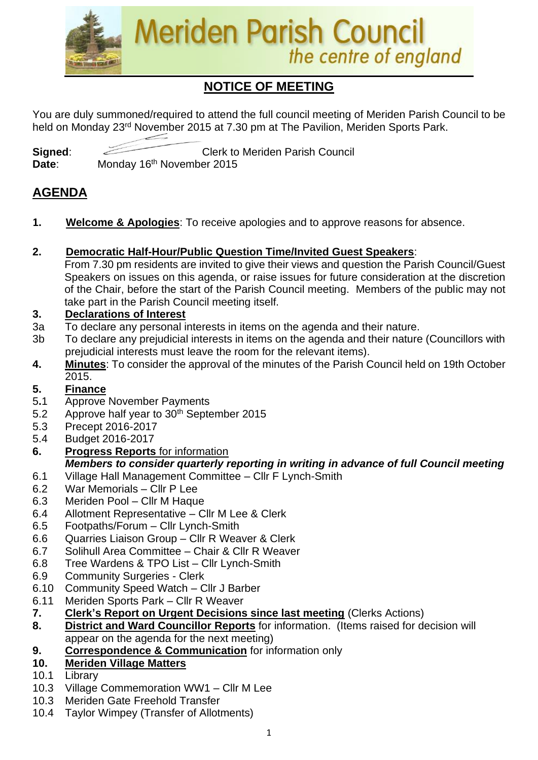

# **NOTICE OF MEETING**

You are duly summoned/required to attend the full council meeting of Meriden Parish Council to be held on Monday 23<sup>rd</sup> November 2015 at 7.30 pm at The Pavilion, Meriden Sports Park.

**Signed:** Clerk to Meriden Parish Council Date: Monday 16<sup>th</sup> November 2015

# **AGENDA**

- **1. Welcome & Apologies**: To receive apologies and to approve reasons for absence.
- **2. Democratic Half-Hour/Public Question Time/Invited Guest Speakers**:

From 7.30 pm residents are invited to give their views and question the Parish Council/Guest Speakers on issues on this agenda, or raise issues for future consideration at the discretion of the Chair, before the start of the Parish Council meeting. Members of the public may not take part in the Parish Council meeting itself.

## **3. Declarations of Interest**

- 3a To declare any personal interests in items on the agenda and their nature.
- 3b To declare any prejudicial interests in items on the agenda and their nature (Councillors with prejudicial interests must leave the room for the relevant items).
- **4. Minutes**: To consider the approval of the minutes of the Parish Council held on 19th October 2015.

## **5. Finance**

- 5**.**1 Approve November Payments
- 5.2 Approve half year to 30<sup>th</sup> September 2015
- 5.3 Precept 2016-2017
- 5.4 Budget 2016-2017
- **6. Progress Reports** for information *Members to consider quarterly reporting in writing in advance of full Council meeting*
- 6.1 Village Hall Management Committee Cllr F Lynch-Smith
- 6.2 War Memorials Cllr P Lee
- 6.3 Meriden Pool Cllr M Haque
- 6.4 Allotment Representative Cllr M Lee & Clerk
- 6.5 Footpaths/Forum Cllr Lynch-Smith
- 6.6 Quarries Liaison Group Cllr R Weaver & Clerk
- 6.7 Solihull Area Committee Chair & Cllr R Weaver
- 6.8 Tree Wardens & TPO List Cllr Lynch-Smith
- 6.9 Community Surgeries Clerk
- 6.10 Community Speed Watch Cllr J Barber
- 6.11 Meriden Sports Park Cllr R Weaver
- **7. Clerk's Report on Urgent Decisions since last meeting** (Clerks Actions)
- **8. District and Ward Councillor Reports** for information. (Items raised for decision will appear on the agenda for the next meeting)
- **9. Correspondence & Communication** for information only
- **10. Meriden Village Matters**
- 10.1 Library
- 10.3 Village Commemoration WW1 Cllr M Lee
- 10.3 Meriden Gate Freehold Transfer
- 10.4 Taylor Wimpey (Transfer of Allotments)